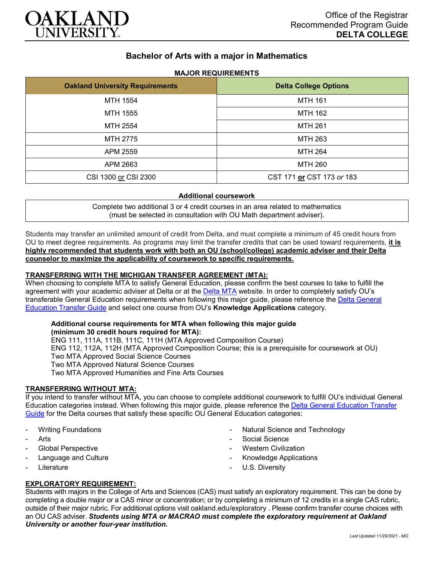

# **Bachelor of Arts with a major in Mathematics**

## **MAJOR REQUIREMENTS**

| <b>Oakland University Requirements</b> | <b>Delta College Options</b> |
|----------------------------------------|------------------------------|
| MTH 1554                               | <b>MTH 161</b>               |
| MTH 1555                               | <b>MTH 162</b>               |
| MTH 2554                               | <b>MTH 261</b>               |
| MTH 2775                               | <b>MTH 263</b>               |
| APM 2559                               | <b>MTH 264</b>               |
| APM 2663                               | <b>MTH 260</b>               |
| CSI 1300 or CSI 2300                   | CST 171 or CST 173 or 183    |

#### **Additional coursework**

Complete two additional 3 or 4 credit courses in an area related to mathematics (must be selected in consultation with OU Math department adviser).

Students may transfer an unlimited amount of credit from Delta, and must complete a minimum of 45 credit hours from OU to meet degree requirements. As programs may limit the transfer credits that can be used toward requirements, **it is highly recommended that students work with both an OU (school/college) academic adviser and their Delta counselor to maximize the applicability of coursework to specific requirements.**

#### **TRANSFERRING WITH THE MICHIGAN TRANSFER AGREEMENT (MTA):**

When choosing to complete MTA to satisfy General Education, please confirm the best courses to take to fulfill the agreement with your academic adviser at Delta or at the [Delta MTA](http://catalog.delta.edu/content.php?catoid=10&navoid=1320&hl=MTA&returnto=search) website. In order to completely satisfy OU's transferable General Education requirements when following this major guide, please reference the [Delta General](https://www.oakland.edu/Assets/Oakland/program-guides/delta-college/university-general-education-requirements/Delta%20Gen%20Ed.pdf)  [Education Transfer Guide](https://www.oakland.edu/Assets/Oakland/program-guides/delta-college/university-general-education-requirements/Delta%20Gen%20Ed.pdf) and select one course from OU's **Knowledge Applications** category.

# **Additional course requirements for MTA when following this major guide**

**(minimum 30 credit hours required for MTA):** ENG 111, 111A, 111B, 111C, 111H (MTA Approved Composition Course) ENG 112, 112A, 112H (MTA Approved Composition Course; this is a prerequisite for coursework at OU) Two MTA Approved Social Science Courses Two MTA Approved Natural Science Courses Two MTA Approved Humanities and Fine Arts Courses

### **TRANSFERRING WITHOUT MTA:**

If you intend to transfer without MTA, you can choose to complete additional coursework to fulfill OU's individual General Education categories instead. When following this major guide, please reference the [Delta General Education Transfer](https://www.oakland.edu/Assets/Oakland/program-guides/delta-college/university-general-education-requirements/Delta%20Gen%20Ed.pdf)  [Guide](https://www.oakland.edu/Assets/Oakland/program-guides/delta-college/university-general-education-requirements/Delta%20Gen%20Ed.pdf) for the Delta courses that satisfy these specific OU General Education categories:

- Writing Foundations
- **Arts**
- Global Perspective
- Language and Culture
- **Literature**
- Natural Science and Technology
- Social Science
- **Western Civilization**
- Knowledge Applications
- U.S. Diversity

### **EXPLORATORY REQUIREMENT:**

Students with majors in the College of Arts and Sciences (CAS) must satisfy an exploratory requirement. This can be done by completing a double major or a CAS minor or concentration; or by completing a minimum of 12 credits in a single CAS rubric, outside of their major rubric. For additional options visit [oakland.edu/exploratory](http://www.oakland.edu/exploratory) . Please confirm transfer course choices with an OU CAS adviser. *Students using MTA or MACRAO must complete the exploratory requirement at Oakland University or another four-year institution.*